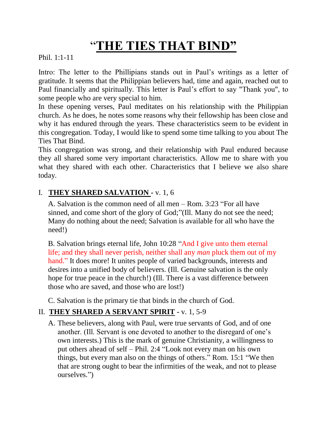## "**THE TIES THAT BIND"**

Phil. 1:1-11

Intro: The letter to the Phillipians stands out in Paul's writings as a letter of gratitude. It seems that the Philippian believers had, time and again, reached out to Paul financially and spiritually. This letter is Paul's effort to say "Thank you", to some people who are very special to him.

In these opening verses, Paul meditates on his relationship with the Philippian church. As he does, he notes some reasons why their fellowship has been close and why it has endured through the years. These characteristics seem to be evident in this congregation. Today, I would like to spend some time talking to you about The Ties That Bind.

This congregation was strong, and their relationship with Paul endured because they all shared some very important characteristics. Allow me to share with you what they shared with each other. Characteristics that I believe we also share today.

## I. **THEY SHARED SALVATION -** v. 1, 6

A. Salvation is the common need of all men – Rom. 3:23 "For all have sinned, and come short of the glory of God;"(Ill. Many do not see the need; Many do nothing about the need; Salvation is available for all who have the need!)

B. Salvation brings eternal life, John 10:28 "And I give unto them eternal life; and they shall never perish, neither shall any *man* pluck them out of my hand." It does more! It unites people of varied backgrounds, interests and desires into a unified body of believers. (Ill. Genuine salvation is the only hope for true peace in the church!) (Ill. There is a vast difference between those who are saved, and those who are lost!)

C. Salvation is the primary tie that binds in the church of God.

## II. **THEY SHARED A SERVANT SPIRIT -** v. 1, 5-9

A. These believers, along with Paul, were true servants of God, and of one another. (Ill. Servant is one devoted to another to the disregard of one's own interests.) This is the mark of genuine Christianity, a willingness to put others ahead of self – Phil. 2:4 "Look not every man on his own things, but every man also on the things of others." Rom. 15:1 "We then that are strong ought to bear the infirmities of the weak, and not to please ourselves.")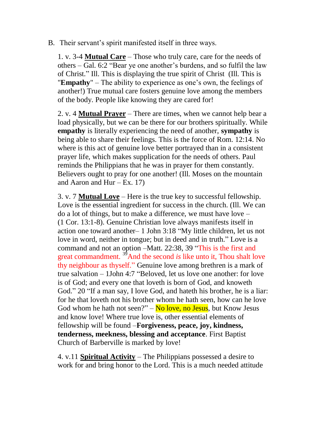B. Their servant's spirit manifested itself in three ways.

1. v. 3-4 **Mutual Care** – Those who truly care, care for the needs of others – Gal. 6:2 "Bear ye one another's burdens, and so fulfil the law of Christ." Ill. This is displaying the true spirit of Christ (Ill. This is "**Empathy**" – The ability to experience as one's own, the feelings of another!) True mutual care fosters genuine love among the members of the body. People like knowing they are cared for!

2. v. 4 **Mutual Prayer** – There are times, when we cannot help bear a load physically, but we can be there for our brothers spiritually. While **empathy** is literally experiencing the need of another, **sympathy** is being able to share their feelings. This is the force of Rom. 12:14. No where is this act of genuine love better portrayed than in a consistent prayer life, which makes supplication for the needs of others. Paul reminds the Philippians that he was in prayer for them constantly. Believers ought to pray for one another! (Ill. Moses on the mountain and Aaron and Hur – Ex. 17)

3. v. 7 **Mutual Love** – Here is the true key to successful fellowship. Love is the essential ingredient for success in the church. (Ill. We can do a lot of things, but to make a difference, we must have love – (1 Cor. 13:1-8). Genuine Christian love always manifests itself in action one toward another– 1 John 3:18 "My little children, let us not love in word, neither in tongue; but in deed and in truth." Love is a command and not an option –Matt. 22:38, 39 "This is the first and great commandment. <sup>39</sup>And the second *is* like unto it, Thou shalt love thy neighbour as thyself." Genuine love among brethren is a mark of true salvation – 1John 4:7 "Beloved, let us love one another: for love is of God; and every one that loveth is born of God, and knoweth God." 20 "If a man say, I love God, and hateth his brother, he is a liar: for he that loveth not his brother whom he hath seen, how can he love God whom he hath not seen?"  $-\text{No love}$ , no Jesus, but Know Jesus and know love! Where true love is, other essential elements of fellowship will be found –**Forgiveness, peace, joy, kindness, tenderness, meekness, blessing and acceptance**. First Baptist Church of Barberville is marked by love!

4. v.11 **Spiritual Activity** – The Philippians possessed a desire to work for and bring honor to the Lord. This is a much needed attitude